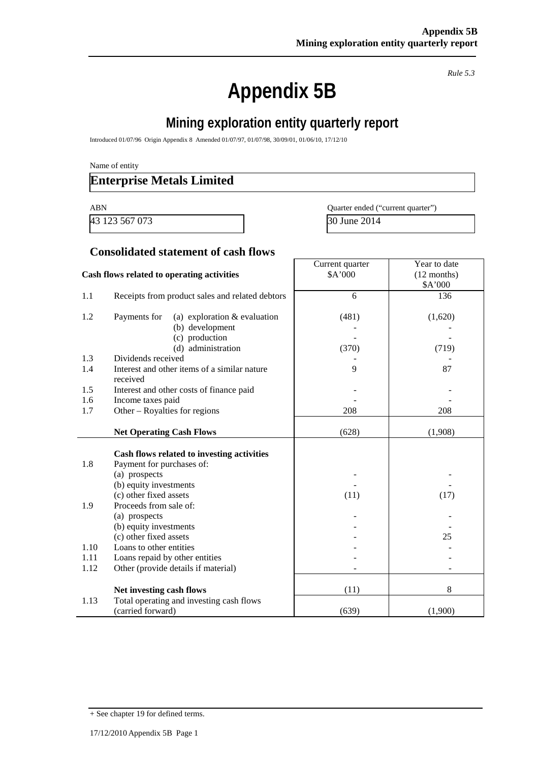*Rule 5.3*

# **Appendix 5B**

# **Mining exploration entity quarterly report**

Introduced 01/07/96 Origin Appendix 8 Amended 01/07/97, 01/07/98, 30/09/01, 01/06/10, 17/12/10

Name of entity

### **Enterprise Metals Limited**

43 123 567 073 30 June 2014

ABN Quarter ended ("current quarter")

#### **Consolidated statement of cash flows**

|                                            |                                                 | Current quarter | Year to date  |
|--------------------------------------------|-------------------------------------------------|-----------------|---------------|
| Cash flows related to operating activities |                                                 | \$A'000         | $(12$ months) |
|                                            |                                                 |                 | \$A'000       |
| 1.1                                        | Receipts from product sales and related debtors | 6               | 136           |
|                                            |                                                 |                 |               |
| 1.2                                        | (a) exploration $&$ evaluation<br>Payments for  | (481)           | (1,620)       |
|                                            | (b) development                                 |                 |               |
|                                            | (c) production                                  |                 |               |
|                                            | (d) administration                              | (370)           | (719)         |
| 1.3                                        | Dividends received                              |                 |               |
| 1.4                                        | Interest and other items of a similar nature    | 9               | 87            |
|                                            | received                                        |                 |               |
| 1.5                                        | Interest and other costs of finance paid        |                 |               |
| 1.6                                        | Income taxes paid                               |                 |               |
| 1.7                                        | Other $-$ Royalties for regions                 | 208             | 208           |
|                                            |                                                 |                 |               |
|                                            | <b>Net Operating Cash Flows</b>                 | (628)           | (1,908)       |
|                                            |                                                 |                 |               |
|                                            | Cash flows related to investing activities      |                 |               |
| 1.8                                        | Payment for purchases of:                       |                 |               |
|                                            | (a) prospects                                   |                 |               |
|                                            | (b) equity investments                          |                 |               |
|                                            | (c) other fixed assets                          | (11)            | (17)          |
| 1.9                                        | Proceeds from sale of:                          |                 |               |
|                                            | (a) prospects                                   |                 |               |
|                                            | (b) equity investments                          |                 |               |
|                                            | (c) other fixed assets                          |                 | 25            |
| 1.10                                       | Loans to other entities                         |                 |               |
| 1.11                                       | Loans repaid by other entities                  |                 |               |
| 1.12                                       | Other (provide details if material)             |                 |               |
|                                            |                                                 |                 |               |
|                                            | Net investing cash flows                        | (11)            | 8             |
| 1.13                                       | Total operating and investing cash flows        |                 |               |
|                                            | (carried forward)                               | (639)           | (1,900)       |

<sup>+</sup> See chapter 19 for defined terms.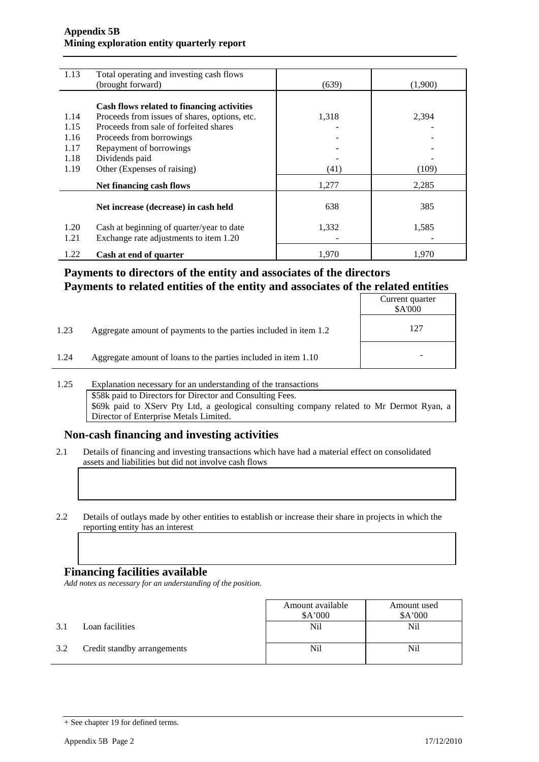#### **Appendix 5B Mining exploration entity quarterly report**

| 1.13 | Total operating and investing cash flows      |       |         |
|------|-----------------------------------------------|-------|---------|
|      | (brought forward)                             | (639) | (1,900) |
|      |                                               |       |         |
|      | Cash flows related to financing activities    |       |         |
| 1.14 | Proceeds from issues of shares, options, etc. | 1,318 | 2,394   |
| 1.15 | Proceeds from sale of forfeited shares        |       |         |
| 1.16 | Proceeds from borrowings                      |       |         |
| 1.17 | Repayment of borrowings                       |       |         |
| 1.18 | Dividends paid                                |       |         |
| 1.19 | Other (Expenses of raising)                   | (41)  | (109)   |
|      | Net financing cash flows                      | 1,277 | 2,285   |
|      |                                               |       |         |
|      | Net increase (decrease) in cash held          | 638   | 385     |
|      |                                               |       |         |
| 1.20 | Cash at beginning of quarter/year to date     | 1,332 | 1,585   |
| 1.21 | Exchange rate adjustments to item 1.20        |       |         |
| 1.22 | Cash at end of quarter                        | 1.970 | 1.970   |

### **Payments to directors of the entity and associates of the directors Payments to related entities of the entity and associates of the related entities**

|      |                                                                  | Current quarter<br>\$A'000 |
|------|------------------------------------------------------------------|----------------------------|
| 1.23 | Aggregate amount of payments to the parties included in item 1.2 | 127                        |
| 1.24 | Aggregate amount of loans to the parties included in item 1.10   | -                          |

1.25 Explanation necessary for an understanding of the transactions \$58k paid to Directors for Director and Consulting Fees. \$69k paid to XServ Pty Ltd, a geological consulting company related to Mr Dermot Ryan, a Director of Enterprise Metals Limited.

### **Non-cash financing and investing activities**

- 2.1 Details of financing and investing transactions which have had a material effect on consolidated assets and liabilities but did not involve cash flows
- 2.2 Details of outlays made by other entities to establish or increase their share in projects in which the reporting entity has an interest

#### **Financing facilities available**

*Add notes as necessary for an understanding of the position.*

|     |                             | Amount available | Amount used |
|-----|-----------------------------|------------------|-------------|
|     |                             | \$A'000          | \$A'000     |
| 3.1 | Loan facilities             | Nil              | Nil         |
| 3.2 | Credit standby arrangements | Nil              | Nil         |

<sup>+</sup> See chapter 19 for defined terms.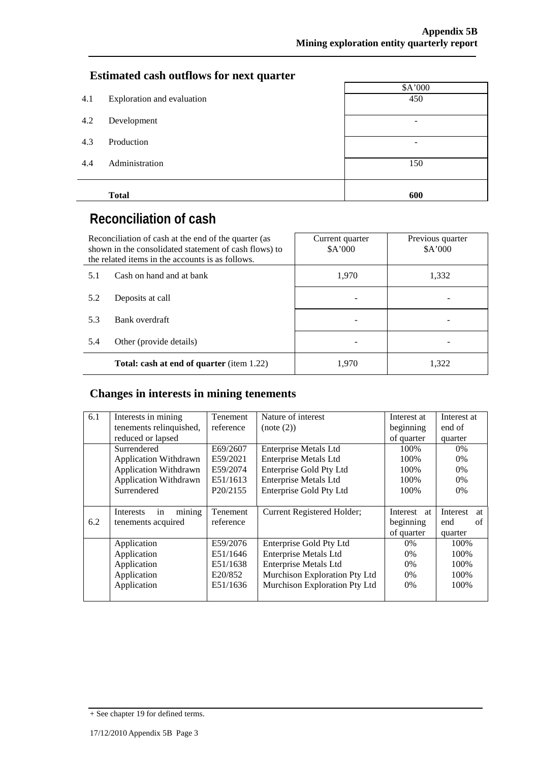### **Estimated cash outflows for next quarter**

|     |                            | \$A'000 |  |  |  |
|-----|----------------------------|---------|--|--|--|
| 4.1 | Exploration and evaluation | 450     |  |  |  |
|     |                            |         |  |  |  |
| 4.2 | Development                | -       |  |  |  |
| 4.3 | Production                 |         |  |  |  |
|     |                            |         |  |  |  |
| 4.4 | Administration             | 150     |  |  |  |
|     |                            |         |  |  |  |
|     |                            |         |  |  |  |
|     | <b>Total</b>               | 600     |  |  |  |

# **Reconciliation of cash**

| Reconciliation of cash at the end of the quarter (as<br>shown in the consolidated statement of cash flows) to<br>the related items in the accounts is as follows. |                                                  | Current quarter<br>A'000 | Previous quarter<br>\$A'000 |
|-------------------------------------------------------------------------------------------------------------------------------------------------------------------|--------------------------------------------------|--------------------------|-----------------------------|
| 5.1                                                                                                                                                               | Cash on hand and at bank                         | 1,970                    | 1,332                       |
| 5.2                                                                                                                                                               | Deposits at call                                 |                          |                             |
| 5.3                                                                                                                                                               | Bank overdraft                                   |                          |                             |
| 5.4                                                                                                                                                               | Other (provide details)                          |                          |                             |
|                                                                                                                                                                   | <b>Total: cash at end of quarter</b> (item 1.22) | 1,970                    | 1.322                       |

# **Changes in interests in mining tenements**

|     |                              |                       |                               | Interest at |                |
|-----|------------------------------|-----------------------|-------------------------------|-------------|----------------|
| 6.1 | Interests in mining          | <b>Tenement</b>       | Nature of interest            |             | Interest at    |
|     | tenements relinquished,      | reference             | (note (2))                    | beginning   | end of         |
|     | reduced or lapsed            |                       |                               | of quarter  | quarter        |
|     | Surrendered                  | E69/2607              | <b>Enterprise Metals Ltd</b>  | 100%        | $0\%$          |
|     | <b>Application Withdrawn</b> | E59/2021              | <b>Enterprise Metals Ltd</b>  | 100%        | $0\%$          |
|     | <b>Application Withdrawn</b> | E59/2074              | Enterprise Gold Pty Ltd       | 100%        | $0\%$          |
|     | <b>Application Withdrawn</b> | E51/1613              | <b>Enterprise Metals Ltd</b>  | 100\%       | $0\%$          |
|     | Surrendered                  | P <sub>20</sub> /2155 | Enterprise Gold Pty Ltd       | 100%        | $0\%$          |
|     |                              |                       |                               |             |                |
|     |                              |                       |                               |             |                |
|     | mining<br>Interests<br>in    | Tenement              | Current Registered Holder;    | Interest at | Interest<br>at |
| 6.2 | tenements acquired           | reference             |                               | beginning   | end<br>of      |
|     |                              |                       |                               | of quarter  | quarter        |
|     | Application                  | E59/2076              | Enterprise Gold Pty Ltd       | $0\%$       | 100%           |
|     | Application                  | E51/1646              | <b>Enterprise Metals Ltd</b>  | 0%          | 100%           |
|     | Application                  | E51/1638              | <b>Enterprise Metals Ltd</b>  | 0%          | 100%           |
|     | Application                  | E20/852               | Murchison Exploration Pty Ltd | 0%          | 100%           |
|     | Application                  | E51/1636              | Murchison Exploration Pty Ltd | 0%          | 100%           |

<sup>+</sup> See chapter 19 for defined terms.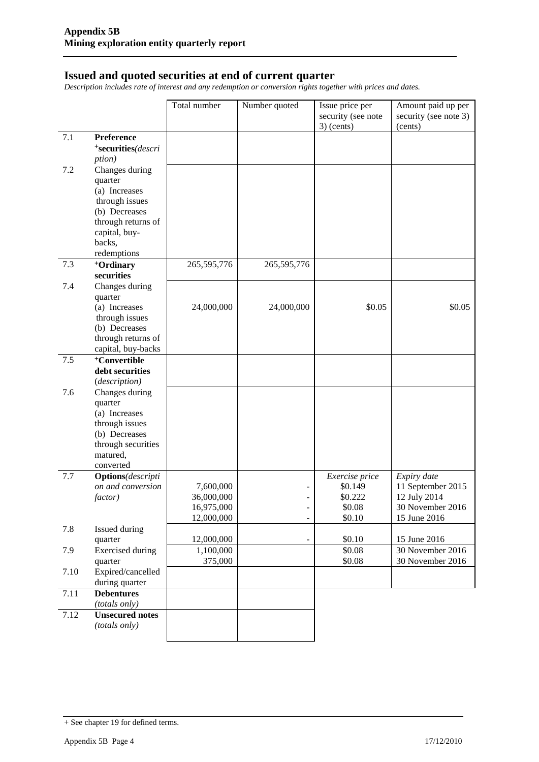#### **Issued and quoted securities at end of current quarter**

*Description includes rate of interest and any redemption or conversion rights together with prices and dates.*

|         |                                     | Total number            | Number quoted            | Issue price per<br>security (see note<br>$3)$ (cents) | Amount paid up per<br>security (see note 3)<br>(cents) |
|---------|-------------------------------------|-------------------------|--------------------------|-------------------------------------------------------|--------------------------------------------------------|
| $7.1\,$ | Preference                          |                         |                          |                                                       |                                                        |
|         | *securities(descri                  |                         |                          |                                                       |                                                        |
|         | <i>ption</i> )                      |                         |                          |                                                       |                                                        |
| 7.2     | Changes during                      |                         |                          |                                                       |                                                        |
|         | quarter                             |                         |                          |                                                       |                                                        |
|         | (a) Increases                       |                         |                          |                                                       |                                                        |
|         | through issues                      |                         |                          |                                                       |                                                        |
|         | (b) Decreases                       |                         |                          |                                                       |                                                        |
|         | through returns of<br>capital, buy- |                         |                          |                                                       |                                                        |
|         | backs,                              |                         |                          |                                                       |                                                        |
|         | redemptions                         |                         |                          |                                                       |                                                        |
| 7.3     | <sup>+</sup> Ordinary               | 265,595,776             | 265,595,776              |                                                       |                                                        |
|         | securities                          |                         |                          |                                                       |                                                        |
| 7.4     | Changes during                      |                         |                          |                                                       |                                                        |
|         | quarter                             |                         |                          |                                                       |                                                        |
|         | (a) Increases<br>through issues     | 24,000,000              | 24,000,000               | \$0.05                                                | \$0.05                                                 |
|         | (b) Decreases                       |                         |                          |                                                       |                                                        |
|         | through returns of                  |                         |                          |                                                       |                                                        |
|         | capital, buy-backs                  |                         |                          |                                                       |                                                        |
| 7.5     | <sup>+</sup> Convertible            |                         |                          |                                                       |                                                        |
|         | debt securities                     |                         |                          |                                                       |                                                        |
|         | (description)                       |                         |                          |                                                       |                                                        |
| 7.6     | Changes during                      |                         |                          |                                                       |                                                        |
|         | quarter<br>(a) Increases            |                         |                          |                                                       |                                                        |
|         | through issues                      |                         |                          |                                                       |                                                        |
|         | (b) Decreases                       |                         |                          |                                                       |                                                        |
|         | through securities                  |                         |                          |                                                       |                                                        |
|         | matured,                            |                         |                          |                                                       |                                                        |
|         | converted                           |                         |                          |                                                       |                                                        |
| 7.7     | <b>Options</b> (descripti           |                         |                          | Exercise price                                        | Expiry date                                            |
|         | on and conversion<br>factor)        | 7,600,000<br>36,000,000 | $\overline{\phantom{0}}$ | \$0.149<br>\$0.222                                    | 11 September 2015<br>12 July 2014                      |
|         |                                     | 16,975,000              | $\overline{\phantom{0}}$ | \$0.08                                                | 30 November 2016                                       |
|         |                                     | 12,000,000              | $\overline{\phantom{a}}$ | \$0.10                                                | 15 June 2016                                           |
| 7.8     | Issued during                       |                         |                          |                                                       |                                                        |
|         | quarter                             | 12,000,000              | $\overline{\phantom{a}}$ | \$0.10                                                | 15 June 2016                                           |
| 7.9     | <b>Exercised</b> during             | 1,100,000               |                          | \$0.08                                                | 30 November 2016                                       |
|         | quarter                             | 375,000                 |                          | \$0.08                                                | 30 November 2016                                       |
| 7.10    | Expired/cancelled<br>during quarter |                         |                          |                                                       |                                                        |
| 7.11    | <b>Debentures</b>                   |                         |                          |                                                       |                                                        |
|         | (totals only)                       |                         |                          |                                                       |                                                        |
| 7.12    | <b>Unsecured notes</b>              |                         |                          |                                                       |                                                        |
|         | (totals only)                       |                         |                          |                                                       |                                                        |
|         |                                     |                         |                          |                                                       |                                                        |

<sup>+</sup> See chapter 19 for defined terms.